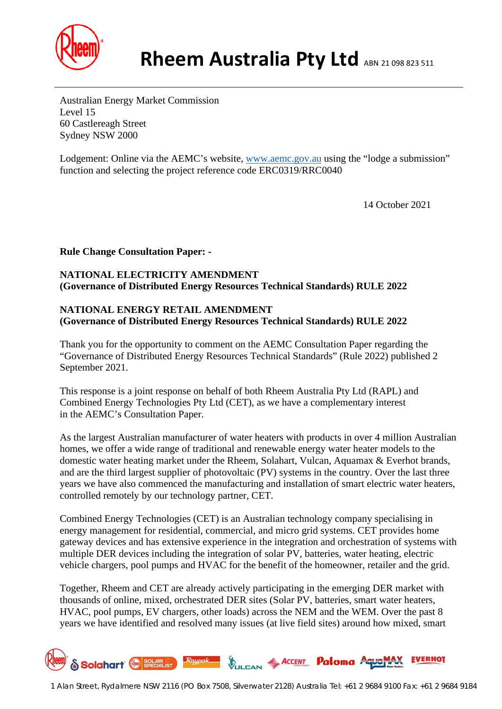

Australian Energy Market Commission Level 15 60 Castlereagh Street Sydney NSW 2000

Lodgement: Online via the AEMC's website, [www.aemc.gov.au](http://www.aemc.gov.au/) using the "lodge a submission" function and selecting the project reference code ERC0319/RRC0040

14 October 2021

**Rule Change Consultation Paper: -**

# **NATIONAL ELECTRICITY AMENDMENT (Governance of Distributed Energy Resources Technical Standards) RULE 2022**

### **NATIONAL ENERGY RETAIL AMENDMENT (Governance of Distributed Energy Resources Technical Standards) RULE 2022**

Thank you for the opportunity to comment on the AEMC Consultation Paper regarding the "Governance of Distributed Energy Resources Technical Standards" (Rule 2022) published 2 September 2021.

This response is a joint response on behalf of both Rheem Australia Pty Ltd (RAPL) and Combined Energy Technologies Pty Ltd (CET), as we have a complementary interest in the AEMC's Consultation Paper.

As the largest Australian manufacturer of water heaters with products in over 4 million Australian homes, we offer a wide range of traditional and renewable energy water heater models to the domestic water heating market under the Rheem, Solahart, Vulcan, Aquamax & Everhot brands, and are the third largest supplier of photovoltaic (PV) systems in the country. Over the last three years we have also commenced the manufacturing and installation of smart electric water heaters, controlled remotely by our technology partner, CET.

Combined Energy Technologies (CET) is an Australian technology company specialising in energy management for residential, commercial, and micro grid systems. CET provides home gateway devices and has extensive experience in the integration and orchestration of systems with multiple DER devices including the integration of solar PV, batteries, water heating, electric vehicle chargers, pool pumps and HVAC for the benefit of the homeowner, retailer and the grid.

Together, Rheem and CET are already actively participating in the emerging DER market with thousands of online, mixed, orchestrated DER sites (Solar PV, batteries, smart water heaters, HVAC, pool pumps, EV chargers, other loads) across the NEM and the WEM. Over the past 8 years we have identified and resolved many issues (at live field sites) around how mixed, smart

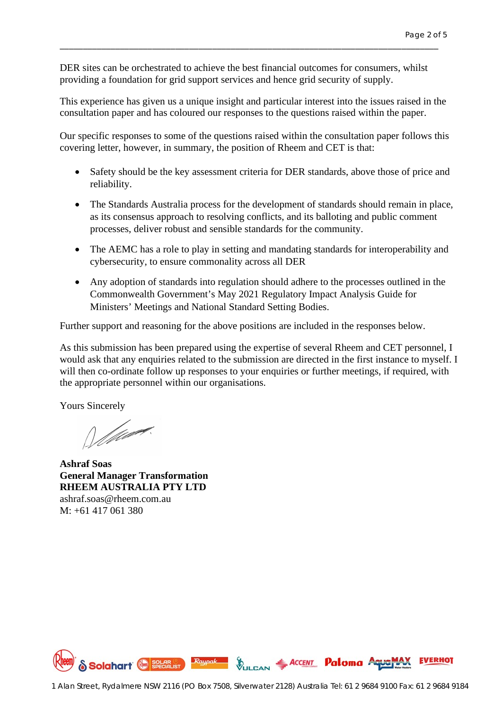DER sites can be orchestrated to achieve the best financial outcomes for consumers, whilst providing a foundation for grid support services and hence grid security of supply.

\_\_\_\_\_\_\_\_\_\_\_\_\_\_\_\_\_\_\_\_\_\_\_\_\_\_\_\_\_\_\_\_\_\_\_\_\_\_\_\_\_\_\_\_\_\_\_\_\_\_\_\_\_\_\_\_\_\_\_\_\_\_\_\_\_\_\_\_\_\_\_\_\_\_\_\_\_\_\_\_\_\_

This experience has given us a unique insight and particular interest into the issues raised in the consultation paper and has coloured our responses to the questions raised within the paper.

Our specific responses to some of the questions raised within the consultation paper follows this covering letter, however, in summary, the position of Rheem and CET is that:

- Safety should be the key assessment criteria for DER standards, above those of price and reliability.
- The Standards Australia process for the development of standards should remain in place, as its consensus approach to resolving conflicts, and its balloting and public comment processes, deliver robust and sensible standards for the community.
- The AEMC has a role to play in setting and mandating standards for interoperability and cybersecurity, to ensure commonality across all DER
- Any adoption of standards into regulation should adhere to the processes outlined in the Commonwealth Government's May 2021 Regulatory Impact Analysis Guide for Ministers' Meetings and National Standard Setting Bodies.

Further support and reasoning for the above positions are included in the responses below.

As this submission has been prepared using the expertise of several Rheem and CET personnel, I would ask that any enquiries related to the submission are directed in the first instance to myself. I will then co-ordinate follow up responses to your enquiries or further meetings, if required, with the appropriate personnel within our organisations.

Yours Sincerely

William.

**Ashraf Soas General Manager Transformation RHEEM AUSTRALIA PTY LTD** ashraf.soas@rheem.com.au M: +61 417 061 380

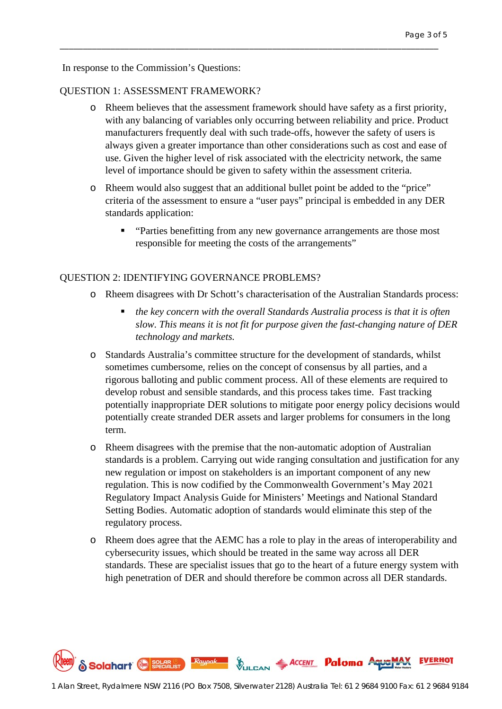In response to the Commission's Questions:

### QUESTION 1: ASSESSMENT FRAMEWORK?

o Rheem believes that the assessment framework should have safety as a first priority, with any balancing of variables only occurring between reliability and price. Product manufacturers frequently deal with such trade-offs, however the safety of users is always given a greater importance than other considerations such as cost and ease of use. Given the higher level of risk associated with the electricity network, the same level of importance should be given to safety within the assessment criteria.

\_\_\_\_\_\_\_\_\_\_\_\_\_\_\_\_\_\_\_\_\_\_\_\_\_\_\_\_\_\_\_\_\_\_\_\_\_\_\_\_\_\_\_\_\_\_\_\_\_\_\_\_\_\_\_\_\_\_\_\_\_\_\_\_\_\_\_\_\_\_\_\_\_\_\_\_\_\_\_\_\_\_

- o Rheem would also suggest that an additional bullet point be added to the "price" criteria of the assessment to ensure a "user pays" principal is embedded in any DER standards application:
	- " "Parties benefitting from any new governance arrangements are those most responsible for meeting the costs of the arrangements"

#### QUESTION 2: IDENTIFYING GOVERNANCE PROBLEMS?

- o Rheem disagrees with Dr Schott's characterisation of the Australian Standards process:
	- *the key concern with the overall Standards Australia process is that it is often slow. This means it is not fit for purpose given the fast-changing nature of DER technology and markets.*
- o Standards Australia's committee structure for the development of standards, whilst sometimes cumbersome, relies on the concept of consensus by all parties, and a rigorous balloting and public comment process. All of these elements are required to develop robust and sensible standards, and this process takes time. Fast tracking potentially inappropriate DER solutions to mitigate poor energy policy decisions would potentially create stranded DER assets and larger problems for consumers in the long term.
- o Rheem disagrees with the premise that the non-automatic adoption of Australian standards is a problem. Carrying out wide ranging consultation and justification for any new regulation or impost on stakeholders is an important component of any new regulation. This is now codified by the Commonwealth Government's May 2021 Regulatory Impact Analysis Guide for Ministers' Meetings and National Standard Setting Bodies. Automatic adoption of standards would eliminate this step of the regulatory process.
- o Rheem does agree that the AEMC has a role to play in the areas of interoperability and cybersecurity issues, which should be treated in the same way across all DER standards. These are specialist issues that go to the heart of a future energy system with high penetration of DER and should therefore be common across all DER standards.

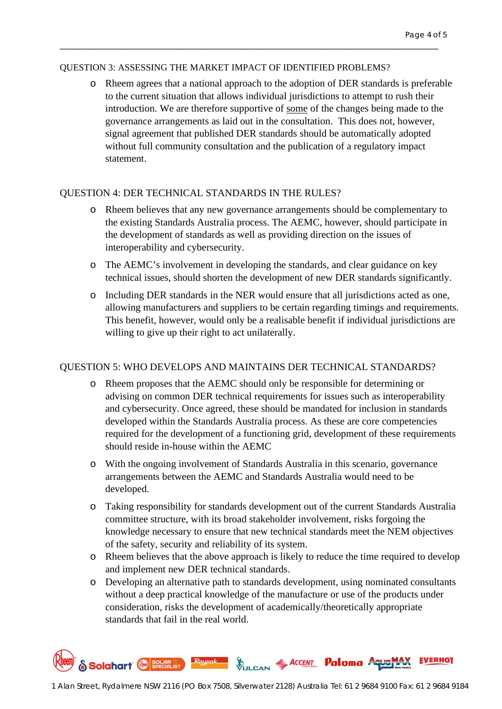#### QUESTION 3: ASSESSING THE MARKET IMPACT OF IDENTIFIED PROBLEMS?

\_\_\_\_\_\_\_\_\_\_\_\_\_\_\_\_\_\_\_\_\_\_\_\_\_\_\_\_\_\_\_\_\_\_\_\_\_\_\_\_\_\_\_\_\_\_\_\_\_\_\_\_\_\_\_\_\_\_\_\_\_\_\_\_\_\_\_\_\_\_\_\_\_\_\_\_\_\_\_\_\_\_

o Rheem agrees that a national approach to the adoption of DER standards is preferable to the current situation that allows individual jurisdictions to attempt to rush their introduction. We are therefore supportive of some of the changes being made to the governance arrangements as laid out in the consultation. This does not, however, signal agreement that published DER standards should be automatically adopted without full community consultation and the publication of a regulatory impact statement.

### QUESTION 4: DER TECHNICAL STANDARDS IN THE RULES?

- o Rheem believes that any new governance arrangements should be complementary to the existing Standards Australia process. The AEMC, however, should participate in the development of standards as well as providing direction on the issues of interoperability and cybersecurity.
- o The AEMC's involvement in developing the standards, and clear guidance on key technical issues, should shorten the development of new DER standards significantly.
- o Including DER standards in the NER would ensure that all jurisdictions acted as one, allowing manufacturers and suppliers to be certain regarding timings and requirements. This benefit, however, would only be a realisable benefit if individual jurisdictions are willing to give up their right to act unilaterally.

# QUESTION 5: WHO DEVELOPS AND MAINTAINS DER TECHNICAL STANDARDS?

- o Rheem proposes that the AEMC should only be responsible for determining or advising on common DER technical requirements for issues such as interoperability and cybersecurity. Once agreed, these should be mandated for inclusion in standards developed within the Standards Australia process. As these are core competencies required for the development of a functioning grid, development of these requirements should reside in-house within the AEMC
- o With the ongoing involvement of Standards Australia in this scenario, governance arrangements between the AEMC and Standards Australia would need to be developed.
- o Taking responsibility for standards development out of the current Standards Australia committee structure, with its broad stakeholder involvement, risks forgoing the knowledge necessary to ensure that new technical standards meet the NEM objectives of the safety, security and reliability of its system.
- o Rheem believes that the above approach is likely to reduce the time required to develop and implement new DER technical standards.
- o Developing an alternative path to standards development, using nominated consultants without a deep practical knowledge of the manufacture or use of the products under consideration, risks the development of academically/theoretically appropriate standards that fail in the real world.